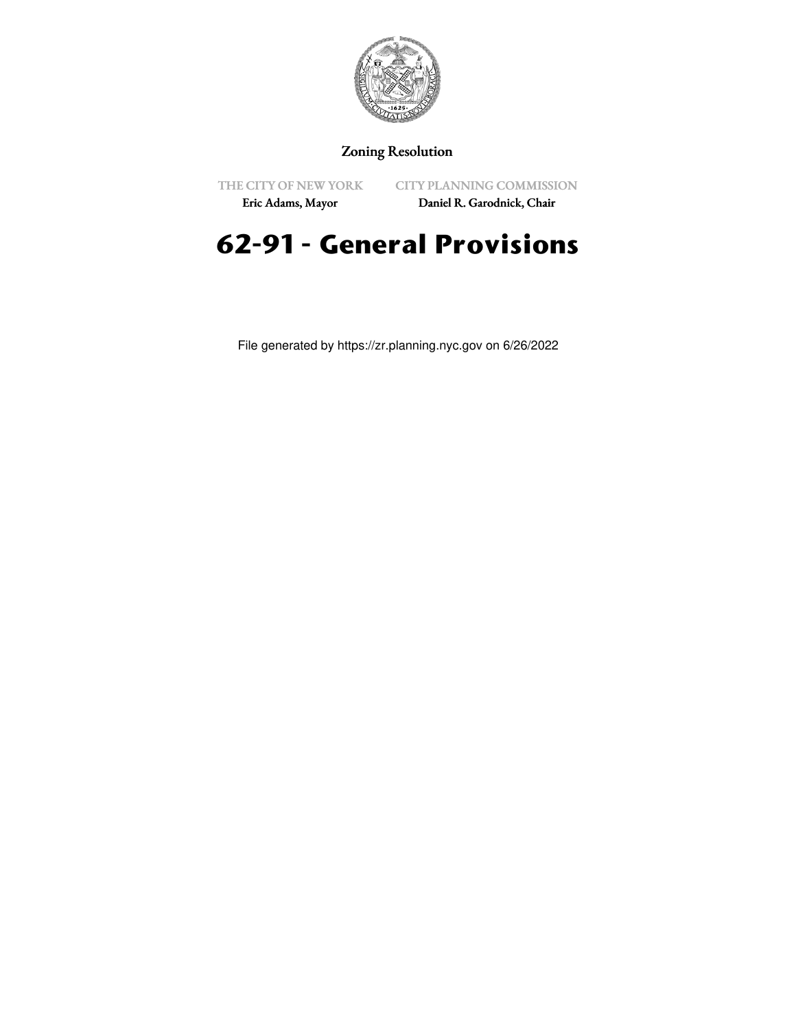

## Zoning Resolution

THE CITY OF NEW YORK

CITY PLANNING COMMISSION

Eric Adams, Mayor

Daniel R. Garodnick, Chair

# **62-91 - General Provisions**

File generated by https://zr.planning.nyc.gov on 6/26/2022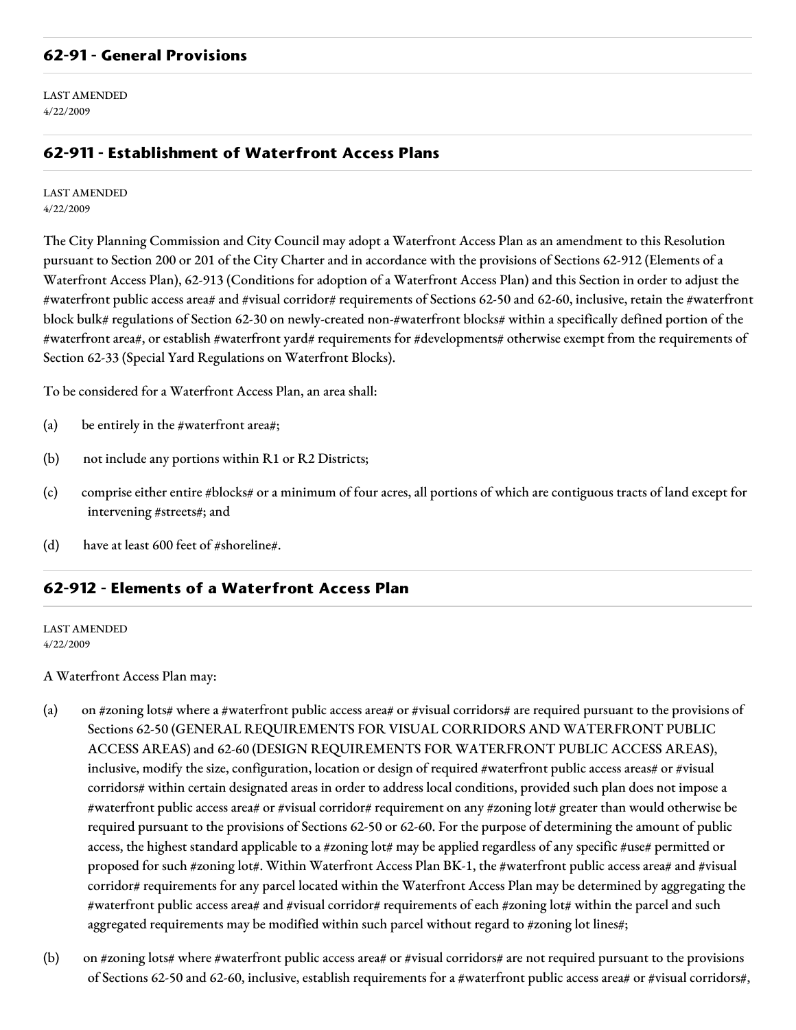## **62-91 - General Provisions**

LAST AMENDED 4/22/2009

## **62-911 - Establishment of Waterfront Access Plans**

#### LAST AMENDED 4/22/2009

The City Planning Commission and City Council may adopt a Waterfront Access Plan as an amendment to this Resolution pursuant to Section 200 or 201 of the City Charter and in accordance with the provisions of Sections 62-912 (Elements of a Waterfront Access Plan), 62-913 (Conditions for adoption of a Waterfront Access Plan) and this Section in order to adjust the #waterfront public access area# and #visual corridor# requirements of Sections 62-50 and 62-60, inclusive, retain the #waterfront block bulk# regulations of Section 62-30 on newly-created non-#waterfront blocks# within a specifically defined portion of the #waterfront area#, or establish #waterfront yard# requirements for #developments# otherwise exempt from the requirements of Section 62-33 (Special Yard Regulations on Waterfront Blocks).

To be considered for a Waterfront Access Plan, an area shall:

- (a) be entirely in the #waterfront area#;
- (b) not include any portions within R1 or R2 Districts;
- (c) comprise either entire #blocks# or a minimum of four acres, all portions of which are contiguous tracts of land except for intervening #streets#; and
- (d) have at least 600 feet of #shoreline#.

## **62-912 - Elements of a Waterfront Access Plan**

LAST AMENDED 4/22/2009

A Waterfront Access Plan may:

- (a) on #zoning lots# where a #waterfront public access area# or #visual corridors# are required pursuant to the provisions of Sections 62-50 (GENERAL REQUIREMENTS FOR VISUAL CORRIDORS AND WATERFRONT PUBLIC ACCESS AREAS) and 62-60 (DESIGN REQUIREMENTS FOR WATERFRONT PUBLIC ACCESS AREAS), inclusive, modify the size, configuration, location or design of required #waterfront public access areas# or #visual corridors# within certain designated areas in order to address local conditions, provided such plan does not impose a #waterfront public access area# or #visual corridor# requirement on any #zoning lot# greater than would otherwise be required pursuant to the provisions of Sections 62-50 or 62-60. For the purpose of determining the amount of public access, the highest standard applicable to a #zoning lot# may be applied regardless of any specific #use# permitted or proposed for such #zoning lot#. Within Waterfront Access Plan BK-1, the #waterfront public access area# and #visual corridor# requirements for any parcel located within the Waterfront Access Plan may be determined by aggregating the #waterfront public access area# and #visual corridor# requirements of each #zoning lot# within the parcel and such aggregated requirements may be modified within such parcel without regard to #zoning lot lines#;
- (b) on #zoning lots# where #waterfront public access area# or #visual corridors# are not required pursuant to the provisions of Sections 62-50 and 62-60, inclusive, establish requirements for a #waterfront public access area# or #visual corridors#,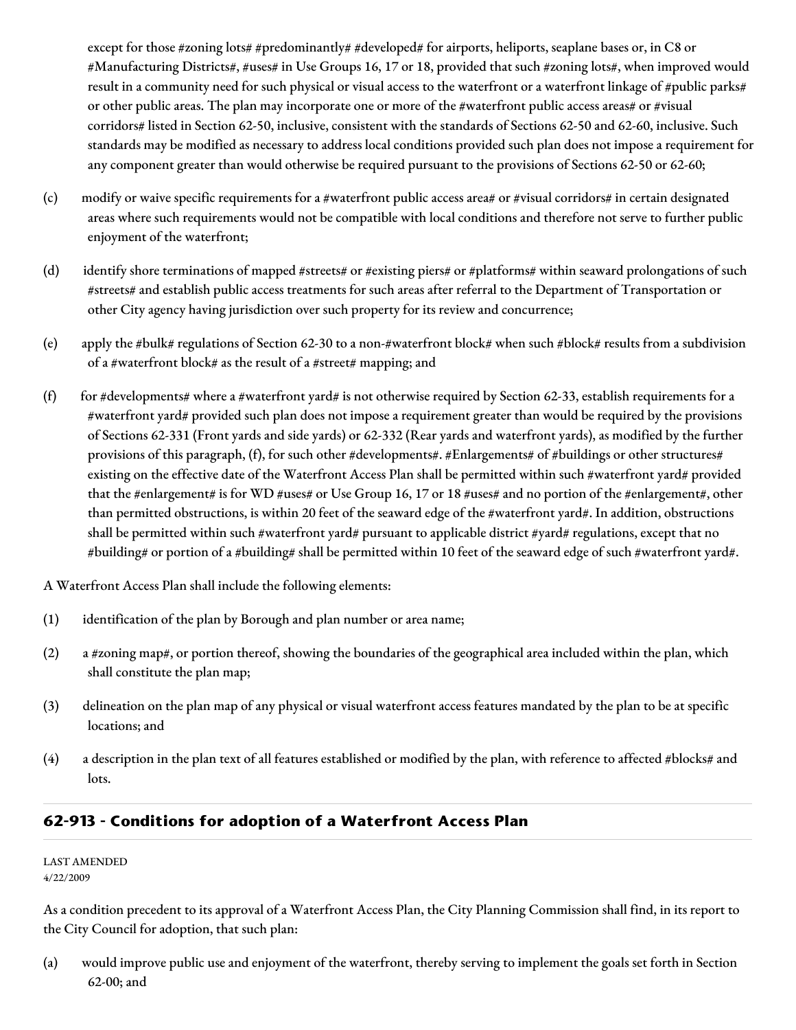except for those #zoning lots# #predominantly# #developed# for airports, heliports, seaplane bases or, in C8 or #Manufacturing Districts#, #uses# in Use Groups 16, 17 or 18, provided that such #zoning lots#, when improved would result in a community need for such physical or visual access to the waterfront or a waterfront linkage of #public parks# or other public areas. The plan may incorporate one or more of the #waterfront public access areas# or #visual corridors# listed in Section 62-50, inclusive, consistent with the standards of Sections 62-50 and 62-60, inclusive. Such standards may be modified as necessary to address local conditions provided such plan does not impose a requirement for any component greater than would otherwise be required pursuant to the provisions of Sections 62-50 or 62-60;

- (c) modify or waive specific requirements for a #waterfront public access area# or #visual corridors# in certain designated areas where such requirements would not be compatible with local conditions and therefore not serve to further public enjoyment of the waterfront;
- (d) identify shore terminations of mapped #streets# or #existing piers# or #platforms# within seaward prolongations of such #streets# and establish public access treatments for such areas after referral to the Department of Transportation or other City agency having jurisdiction over such property for its review and concurrence;
- (e) apply the #bulk# regulations of Section 62-30 to a non-#waterfront block# when such #block# results from a subdivision of a #waterfront block# as the result of a #street# mapping; and
- (f) for #developments# where a #waterfront yard# is not otherwise required by Section 62-33, establish requirements for a #waterfront yard# provided such plan does not impose a requirement greater than would be required by the provisions of Sections 62-331 (Front yards and side yards) or 62-332 (Rear yards and waterfront yards), as modified by the further provisions of this paragraph, (f), for such other #developments#. #Enlargements# of #buildings or other structures# existing on the effective date of the Waterfront Access Plan shall be permitted within such #waterfront yard# provided that the #enlargement# is for WD #uses# or Use Group 16, 17 or 18 #uses# and no portion of the #enlargement#, other than permitted obstructions, is within 20 feet of the seaward edge of the #waterfront yard#. In addition, obstructions shall be permitted within such #waterfront yard# pursuant to applicable district #yard# regulations, except that no #building# or portion of a #building# shall be permitted within 10 feet of the seaward edge of such #waterfront yard#.

A Waterfront Access Plan shall include the following elements:

- (1) identification of the plan by Borough and plan number or area name;
- (2) a #zoning map#, or portion thereof, showing the boundaries of the geographical area included within the plan, which shall constitute the plan map;
- (3) delineation on the plan map of any physical or visual waterfront access features mandated by the plan to be at specific locations; and
- (4) a description in the plan text of all features established or modified by the plan, with reference to affected #blocks# and lots.

# **62-913 - Conditions for adoption of a Waterfront Access Plan**

LAST AMENDED 4/22/2009

As a condition precedent to its approval of a Waterfront Access Plan, the City Planning Commission shall find, in its report to the City Council for adoption, that such plan:

(a) would improve public use and enjoyment of the waterfront, thereby serving to implement the goals set forth in Section 62-00; and